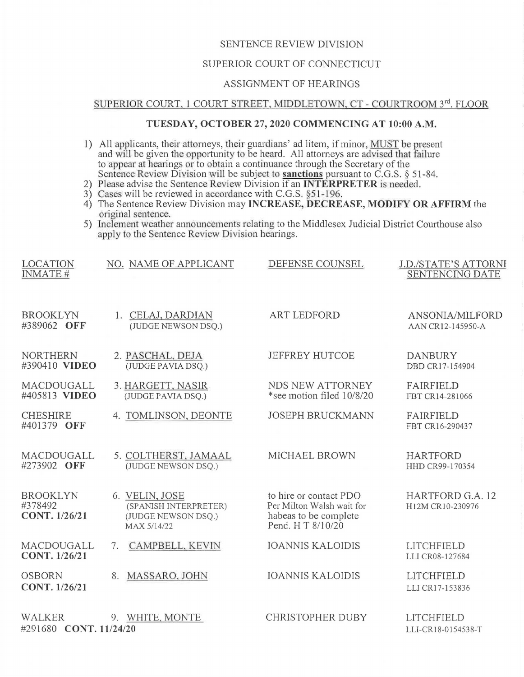## SENTENCE REVIEW DIVISION

## SUPERIOR COURT OF CONNECTICUT

#### ASSIGNMENT OF HEARINGS

# SUPERIOR COURT, 1 COURT STREET, MIDDLETOWN, CT - COURTROOM 3rd. FLOOR

## **TUESDAY, OCTOBER** 27, **2020 COMMENCING AT 10:00 A.M.**

1) All applicants, their attorneys, their guardians' ad litem, if minor, MUST be present and will be given the opportunity to be heard. All attorneys are advised that failure to appear at hearings or to obtain a continuance through the Secretary of the Sentence Review Division will be subject to **sanctions** pursuant to C.G.S. § 51-84.

- 2) Please advise the Sentence Review Division if an **INTERPRETER** is needed.
- 3) Cases will be reviewed in accordance with C.G.S.  $§51-196$ .
- 4) The Sentence Review Division may **INCREASE, DECREASE, MODIFY OR AFFIRM** the original sentence.
- 5) Inclement weather announcements relating to the Middlesex Judicial District Courthouse also apply to the Sentence Review Division hearings.

| <b>LOCATION</b><br><b>INMATE#</b>           | NO. NAME OF APPLICANT                                                         | DEFENSE COUNSEL                                                                                   | <b>J.D./STATE'S ATTORNI</b><br><b>SENTENCING DATE</b> |
|---------------------------------------------|-------------------------------------------------------------------------------|---------------------------------------------------------------------------------------------------|-------------------------------------------------------|
| <b>BROOKLYN</b>                             | 1. CELAJ, DARDIAN                                                             | <b>ART LEDFORD</b>                                                                                | ANSONIA/MILFORD                                       |
| #389062 OFF                                 | (JUDGE NEWSON DSQ.)                                                           |                                                                                                   | AAN CR12-145950-A                                     |
| <b>NORTHERN</b>                             | 2. PASCHAL, DEJA                                                              | JEFFREY HUTCOE                                                                                    | <b>DANBURY</b>                                        |
| #390410 VIDEO                               | (JUDGE PAVIA DSQ.)                                                            |                                                                                                   | DBD CR17-154904                                       |
| MACDOUGALL                                  | 3. HARGETT, NASIR                                                             | NDS NEW ATTORNEY                                                                                  | <b>FAIRFIELD</b>                                      |
| #405813 VIDEO                               | (JUDGE PAVIA DSQ.)                                                            | *see motion filed 10/8/20                                                                         | FBT CR14-281066                                       |
| <b>CHESHIRE</b><br>#401379 OFF              | 4. TOMLINSON, DEONTE                                                          | <b>JOSEPH BRUCKMANN</b>                                                                           | <b>FAIRFIELD</b><br>FBT CR16-290437                   |
| MACDOUGALL                                  | 5. COLTHERST, JAMAAL                                                          | MICHAEL BROWN                                                                                     | <b>HARTFORD</b>                                       |
| #273902 OFF                                 | (JUDGE NEWSON DSQ.)                                                           |                                                                                                   | HHD CR99-170354                                       |
| <b>BROOKLYN</b><br>#378492<br>CONT. 1/26/21 | 6. VELIN, JOSE<br>(SPANISH INTERPRETER)<br>(JUDGE NEWSON DSQ.)<br>MAX 5/14/22 | to hire or contact PDO<br>Per Milton Walsh wait for<br>habeas to be complete<br>Pend. H T 8/10/20 | HARTFORD G.A. 12<br>H12M CR10-230976                  |
| MACDOUGALL                                  | CAMPBELL, KEVIN                                                               | <b>IOANNIS KALOIDIS</b>                                                                           | LITCHFIELD                                            |
| CONT. 1/26/21                               | 7.                                                                            |                                                                                                   | LLI CR08-127684                                       |
| <b>OSBORN</b>                               | MASSARO, JOHN                                                                 | <b>IOANNIS KALOIDIS</b>                                                                           | <b>LITCHFIELD</b>                                     |
| CONT. 1/26/21                               | 8.                                                                            |                                                                                                   | LLI CR17-153836                                       |
| <b>WALKER</b><br>#291680 CONT. 11/24/20     | 9. WHITE, MONTE                                                               | <b>CHRISTOPHER DUBY</b>                                                                           | LITCHFIELD<br>LLI-CR18-0154538-T                      |